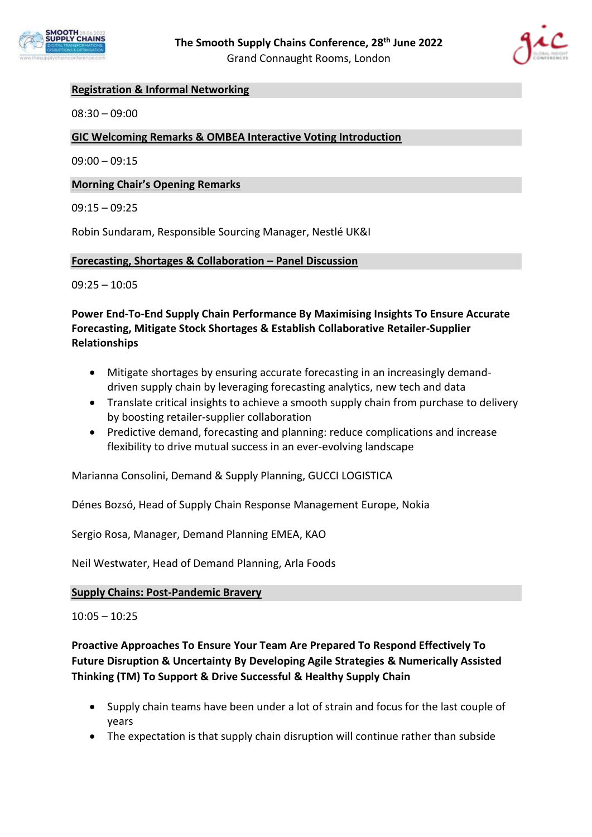



## **Registration & Informal Networking**

08:30 – 09:00

#### **GIC Welcoming Remarks & OMBEA Interactive Voting Introduction**

 $09:00 - 09:15$ 

#### **Morning Chair's Opening Remarks**

09:15 – 09:25

Robin Sundaram, Responsible Sourcing Manager, Nestlé UK&I

#### **Forecasting, Shortages & Collaboration – Panel Discussion**

09:25 – 10:05

## **Power End-To-End Supply Chain Performance By Maximising Insights To Ensure Accurate Forecasting, Mitigate Stock Shortages & Establish Collaborative Retailer-Supplier Relationships**

- Mitigate shortages by ensuring accurate forecasting in an increasingly demanddriven supply chain by leveraging forecasting analytics, new tech and data
- Translate critical insights to achieve a smooth supply chain from purchase to delivery by boosting retailer-supplier collaboration
- Predictive demand, forecasting and planning: reduce complications and increase flexibility to drive mutual success in an ever-evolving landscape

Marianna Consolini, Demand & Supply Planning, GUCCI LOGISTICA

Dénes Bozsó, Head of Supply Chain Response Management Europe, Nokia

Sergio Rosa, Manager, Demand Planning EMEA, KAO

Neil Westwater, Head of Demand Planning, Arla Foods

#### **Supply Chains: Post-Pandemic Bravery**

 $10:05 - 10:25$ 

# **Proactive Approaches To Ensure Your Team Are Prepared To Respond Effectively To Future Disruption & Uncertainty By Developing Agile Strategies & Numerically Assisted Thinking (TM) To Support & Drive Successful & Healthy Supply Chain**

- Supply chain teams have been under a lot of strain and focus for the last couple of years
- The expectation is that supply chain disruption will continue rather than subside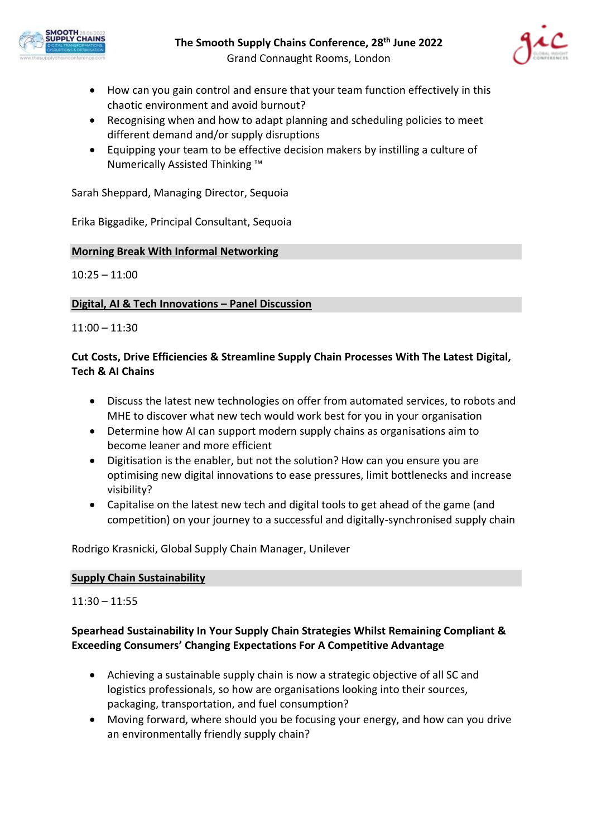



- How can you gain control and ensure that your team function effectively in this chaotic environment and avoid burnout?
- Recognising when and how to adapt planning and scheduling policies to meet different demand and/or supply disruptions
- Equipping your team to be effective decision makers by instilling a culture of Numerically Assisted Thinking ™

Sarah Sheppard, Managing Director, Sequoia

Erika Biggadike, Principal Consultant, Sequoia

## **Morning Break With Informal Networking**

10:25 – 11:00

## **Digital, AI & Tech Innovations – Panel Discussion**

11:00 – 11:30

# **Cut Costs, Drive Efficiencies & Streamline Supply Chain Processes With The Latest Digital, Tech & AI Chains**

- Discuss the latest new technologies on offer from automated services, to robots and MHE to discover what new tech would work best for you in your organisation
- Determine how AI can support modern supply chains as organisations aim to become leaner and more efficient
- Digitisation is the enabler, but not the solution? How can you ensure you are optimising new digital innovations to ease pressures, limit bottlenecks and increase visibility?
- Capitalise on the latest new tech and digital tools to get ahead of the game (and competition) on your journey to a successful and digitally-synchronised supply chain

Rodrigo Krasnicki, Global Supply Chain Manager, Unilever

### **Supply Chain Sustainability**

11:30 – 11:55

## **Spearhead Sustainability In Your Supply Chain Strategies Whilst Remaining Compliant & Exceeding Consumers' Changing Expectations For A Competitive Advantage**

- Achieving a sustainable supply chain is now a strategic objective of all SC and logistics professionals, so how are organisations looking into their sources, packaging, transportation, and fuel consumption?
- Moving forward, where should you be focusing your energy, and how can you drive an environmentally friendly supply chain?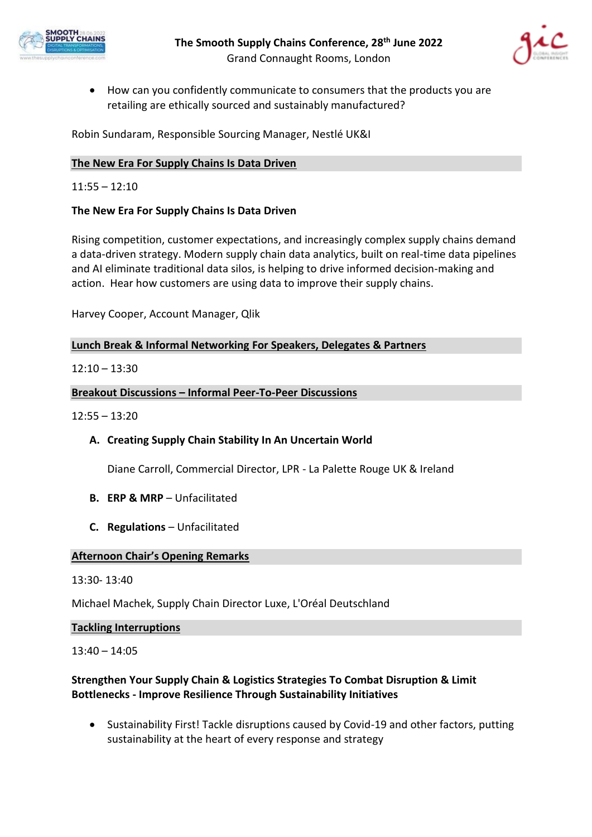



• How can you confidently communicate to consumers that the products you are retailing are ethically sourced and sustainably manufactured?

Robin Sundaram, Responsible Sourcing Manager, Nestlé UK&I

## **The New Era For Supply Chains Is Data Driven**

### $11:55 - 12:10$

### **The New Era For Supply Chains Is Data Driven**

Rising competition, customer expectations, and increasingly complex supply chains demand a data-driven strategy. Modern supply chain data analytics, built on real-time data pipelines and AI eliminate traditional data silos, is helping to drive informed decision-making and action. Hear how customers are using data to improve their supply chains.

Harvey Cooper, Account Manager, Qlik

## **Lunch Break & Informal Networking For Speakers, Delegates & Partners**

## $12:10 - 13:30$

### **Breakout Discussions – Informal Peer-To-Peer Discussions**

12:55 – 13:20

## **A. Creating Supply Chain Stability In An Uncertain World**

Diane Carroll, Commercial Director, LPR - La Palette Rouge UK & Ireland

- **B. ERP & MRP**  Unfacilitated
- **C. Regulations**  Unfacilitated

### **Afternoon Chair's Opening Remarks**

### 13:30- 13:40

Michael Machek, Supply Chain Director Luxe, L'Oréal Deutschland

#### **Tackling Interruptions**

13:40 – 14:05

## **Strengthen Your Supply Chain & Logistics Strategies To Combat Disruption & Limit Bottlenecks - Improve Resilience Through Sustainability Initiatives**

• Sustainability First! Tackle disruptions caused by Covid-19 and other factors, putting sustainability at the heart of every response and strategy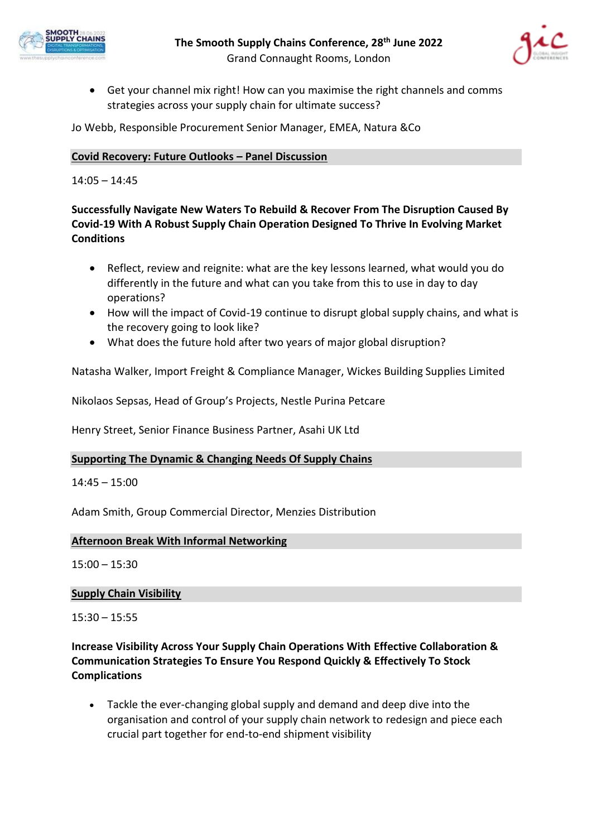



• Get your channel mix right! How can you maximise the right channels and comms strategies across your supply chain for ultimate success?

Jo Webb, Responsible Procurement Senior Manager, EMEA, Natura &Co

## **Covid Recovery: Future Outlooks – Panel Discussion**

14:05 – 14:45

# **Successfully Navigate New Waters To Rebuild & Recover From The Disruption Caused By Covid-19 With A Robust Supply Chain Operation Designed To Thrive In Evolving Market Conditions**

- Reflect, review and reignite: what are the key lessons learned, what would you do differently in the future and what can you take from this to use in day to day operations?
- How will the impact of Covid-19 continue to disrupt global supply chains, and what is the recovery going to look like?
- What does the future hold after two years of major global disruption?

Natasha Walker, Import Freight & Compliance Manager, Wickes Building Supplies Limited

Nikolaos Sepsas, Head of Group's Projects, Nestle Purina Petcare

Henry Street, Senior Finance Business Partner, Asahi UK Ltd

### **Supporting The Dynamic & Changing Needs Of Supply Chains**

14:45 – 15:00

Adam Smith, Group Commercial Director, Menzies Distribution

### **Afternoon Break With Informal Networking**

15:00 – 15:30

### **Supply Chain Visibility**

15:30 – 15:55

# **Increase Visibility Across Your Supply Chain Operations With Effective Collaboration & Communication Strategies To Ensure You Respond Quickly & Effectively To Stock Complications**

• Tackle the ever-changing global supply and demand and deep dive into the organisation and control of your supply chain network to redesign and piece each crucial part together for end-to-end shipment visibility